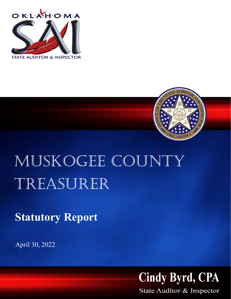



## MUSKOGEE COUNTY Treasurer

**Statutory Report**

April 30, 2022



State Auditor & Inspector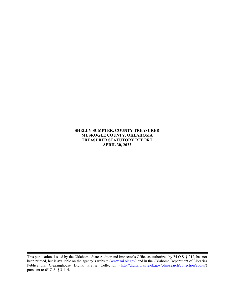**SHELLY SUMPTER, COUNTY TREASURER MUSKOGEE COUNTY, OKLAHOMA TREASURER STATUTORY REPORT APRIL 30, 2022**

This publication, issued by the Oklahoma State Auditor and Inspector's Office as authorized by 74 O.S. § 212, has not been printed, but is available on the agency's website [\(www.sai.ok.gov\)](http://www.sai.ok.gov/) and in the Oklahoma Department of Libraries Publications Clearinghouse Digital Prairie Collection [\(http://digitalprairie.ok.gov/cdm/search/collection/audits/\)](http://digitalprairie.ok.gov/cdm/search/collection/audits/) pursuant to 65 O.S. § 3-114.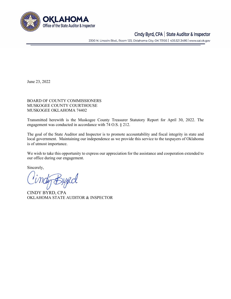

## Cindy Byrd, CPA | State Auditor & Inspector

2300 N. Lincoln Blvd., Room 123, Oklahoma City, OK 73105 | 405.521.3495 | www.sai.ok.gov

June 23, 2022

BOARD OF COUNTY COMMISSIONERS MUSKOGEE COUNTY COURTHOUSE MUSKOGEE OKLAHOMA 74402

Transmitted herewith is the Muskogee County Treasurer Statutory Report for April 30, 2022. The engagement was conducted in accordance with 74 O.S. § 212.

The goal of the State Auditor and Inspector is to promote accountability and fiscal integrity in state and local government. Maintaining our independence as we provide this service to the taxpayers of Oklahoma is of utmost importance.

We wish to take this opportunity to express our appreciation for the assistance and cooperation extended to our office during our engagement.

Sincerely,

ty Bypcl

CINDY BYRD, CPA OKLAHOMA STATE AUDITOR & INSPECTOR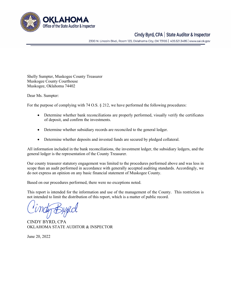

## Cindy Byrd, CPA | State Auditor & Inspector

2300 N. Lincoln Blvd., Room 123, Oklahoma City, OK 73105 | 405.521.3495 | www.sai.ok.gov

Shelly Sumpter, Muskogee County Treasurer Muskogee County Courthouse Muskogee, Oklahoma 74402

Dear Ms. Sumpter:

For the purpose of complying with 74 O.S.  $\S 212$ , we have performed the following procedures:

- Determine whether bank reconciliations are properly performed, visually verify the certificates of deposit, and confirm the investments.
- Determine whether subsidiary records are reconciled to the general ledger.
- Determine whether deposits and invested funds are secured by pledged collateral.

All information included in the bank reconciliations, the investment ledger, the subsidiary ledgers, and the general ledger is the representation of the County Treasurer.

Our county treasurer statutory engagement was limited to the procedures performed above and was less in scope than an audit performed in accordance with generally accepted auditing standards. Accordingly, we do not express an opinion on any basic financial statement of Muskogee County.

Based on our procedures performed, there were no exceptions noted.

This report is intended for the information and use of the management of the County. This restriction is not intended to limit the distribution of this report, which is a matter of public record.

CINDY BYRD, CPA OKLAHOMA STATE AUDITOR & INSPECTOR

June 20, 2022